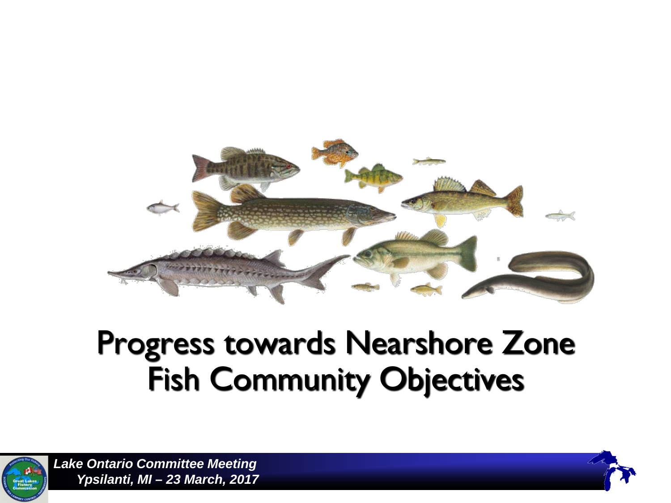

## Progress towards Nearshore Zone Fish Community Objectives



*Lake Ontario Committee Meeting Ypsilanti, MI – 23 March, 2017*

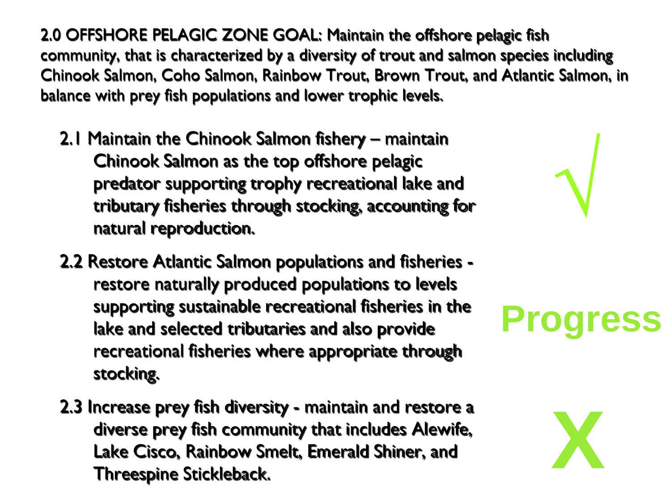2.0 OFFSHORE PELAGIC ZONE GOAL: Maintain the offshore pelagic fish community, that is characterized by a diversity of trout and salmon species including Chinook Salmon, Coho Salmon, Rainbow Trout, Brown Trout, and Atlantic Salmon, in balance with prey fish populations and lower trophic levels.

- 2.1 Maintain the Chinook Salmon fishery maintain Chinook Salmon as the top offshore pelagic predator supporting trophy recreational lake and tributary fisheries through stocking, accounting for natural reproduction.
- 2.2 Restore Atlantic Salmon populations and fisheries restore naturally produced populations to levels supporting sustainable recreational fisheries in the lake and selected tributaries and also provide recreational fisheries where appropriate through stocking.
- 2.3 Increase prey fish diversity maintain and restore a diverse prey fish community that includes Alewife, Lake Cisco, Rainbow Smelt, Emerald Shiner, and Threespine Stickleback.



**√**